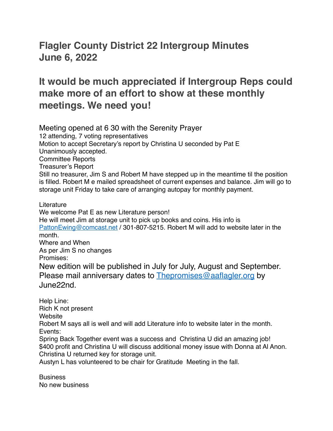## **Flagler County District 22 Intergroup Minutes June 6, 2022**

## **It would be much appreciated if Intergroup Reps could make more of an effort to show at these monthly meetings. We need you!**

Meeting opened at 6 30 with the Serenity Prayer 12 attending, 7 voting representatives Motion to accept Secretary's report by Christina U seconded by Pat E Unanimously accepted. Committee Reports Treasurer's Report Still no treasurer, Jim S and Robert M have stepped up in the meantime til the position is filled. Robert M e mailed spreadsheet of current expenses and balance. Jim will go to storage unit Friday to take care of arranging autopay for monthly payment.

Literature

We welcome Pat E as new Literature person! He will meet Jim at storage unit to pick up books and coins. His info is [PattonEwing@comcast.net](mailto:PattonEwing@comcast.net) / 301-807-5215. Robert M will add to website later in the month. Where and When As per Jim S no changes

Promises:

New edition will be published in July for July, August and September. Please mail anniversary dates to [Thepromises@aaflagler.org](mailto:Thepromises@aaflagler.org) by June22nd.

Help Line: Rich K not present Website Robert M says all is well and will add Literature info to website later in the month. Events: Spring Back Together event was a success and Christina U did an amazing job! \$400 profit and Christina U will discuss additional money issue with Donna at Al Anon. Christina U returned key for storage unit. Austyn L has volunteered to be chair for Gratitude Meeting in the fall.

**Business** No new business